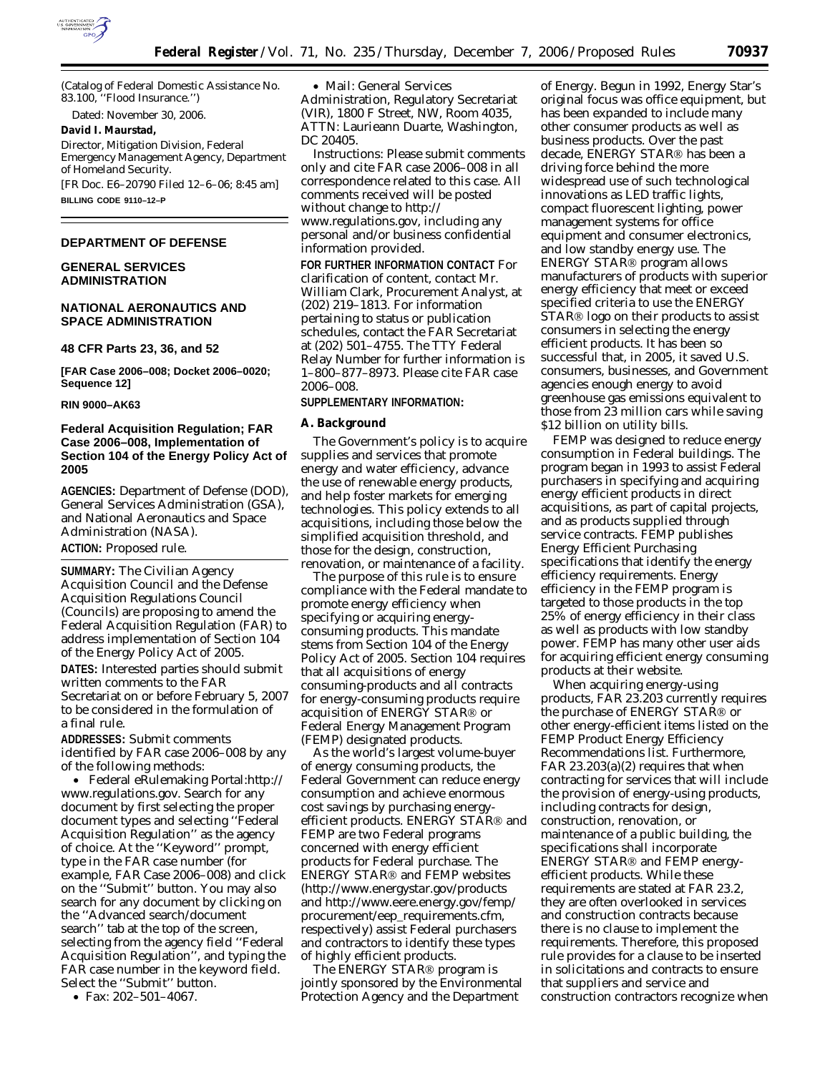

(Catalog of Federal Domestic Assistance No. 83.100, ''Flood Insurance.'')

Dated: November 30, 2006.

#### **David I. Maurstad,**

*Director, Mitigation Division, Federal Emergency Management Agency, Department of Homeland Security.*  [FR Doc. E6–20790 Filed 12–6–06; 8:45 am]

**BILLING CODE 9110–12–P** 

### **DEPARTMENT OF DEFENSE**

# **GENERAL SERVICES ADMINISTRATION**

## **NATIONAL AERONAUTICS AND SPACE ADMINISTRATION**

**48 CFR Parts 23, 36, and 52** 

**[FAR Case 2006–008; Docket 2006–0020; Sequence 12]** 

## **RIN 9000–AK63**

# **Federal Acquisition Regulation; FAR Case 2006–008, Implementation of Section 104 of the Energy Policy Act of 2005**

**AGENCIES:** Department of Defense (DOD), General Services Administration (GSA), and National Aeronautics and Space Administration (NASA).

**ACTION:** Proposed rule.

**SUMMARY:** The Civilian Agency Acquisition Council and the Defense Acquisition Regulations Council (Councils) are proposing to amend the Federal Acquisition Regulation (FAR) to address implementation of Section 104 of the Energy Policy Act of 2005.

**DATES:** Interested parties should submit written comments to the FAR Secretariat on or before February 5, 2007 to be considered in the formulation of a final rule.

**ADDRESSES:** Submit comments identified by FAR case 2006–008 by any of the following methods:

• Federal eRulemaking Portal:*http:// www.regulations.gov*. Search for any document by first selecting the proper document types and selecting ''Federal Acquisition Regulation'' as the agency of choice. At the ''Keyword'' prompt, type in the FAR case number (for example, FAR Case 2006–008) and click on the ''Submit'' button. You may also search for any document by clicking on the ''Advanced search/document search'' tab at the top of the screen, selecting from the agency field ''Federal Acquisition Regulation'', and typing the FAR case number in the keyword field. Select the ''Submit'' button.

• Fax: 202–501–4067.

• Mail: General Services Administration, Regulatory Secretariat (VIR), 1800 F Street, NW, Room 4035, ATTN: Laurieann Duarte, Washington, DC 20405.

*Instructions:* Please submit comments only and cite FAR case 2006–008 in all correspondence related to this case. All comments received will be posted without change to *http:// www.regulations.gov*, including any personal and/or business confidential information provided.

**FOR FURTHER INFORMATION CONTACT** For clarification of content, contact Mr. William Clark, Procurement Analyst, at (202) 219–1813. For information pertaining to status or publication schedules, contact the FAR Secretariat at (202) 501–4755. The TTY Federal Relay Number for further information is 1–800–877–8973. Please cite FAR case 2006–008.

# **SUPPLEMENTARY INFORMATION:**

#### **A. Background**

The Government's policy is to acquire supplies and services that promote energy and water efficiency, advance the use of renewable energy products, and help foster markets for emerging technologies. This policy extends to all acquisitions, including those below the simplified acquisition threshold, and those for the design, construction, renovation, or maintenance of a facility.

The purpose of this rule is to ensure compliance with the Federal mandate to promote energy efficiency when specifying or acquiring energyconsuming products. This mandate stems from Section 104 of the Energy Policy Act of 2005. Section 104 requires that all acquisitions of energy consuming-products and all contracts for energy-consuming products require acquisition of ENERGY STAR<sup>®</sup> or Federal Energy Management Program (FEMP) designated products.

As the world's largest volume-buyer of energy consuming products, the Federal Government can reduce energy consumption and achieve enormous cost savings by purchasing energyefficient products. ENERGY STAR<sup>®</sup> and FEMP are two Federal programs concerned with energy efficient products for Federal purchase. The ENERGY STAR<sup>®</sup> and FEMP websites (*http://www.energystar.gov/products*  and *http://www.eere.energy.gov/femp/ procurement/eep*\_*requirements.cfm*, respectively) assist Federal purchasers and contractors to identify these types of highly efficient products.

The ENERGY STAR<sup>®</sup> program is jointly sponsored by the Environmental Protection Agency and the Department

of Energy. Begun in 1992, Energy Star's original focus was office equipment, but has been expanded to include many other consumer products as well as business products. Over the past decade, ENERGY STAR® has been a driving force behind the more widespread use of such technological innovations as LED traffic lights, compact fluorescent lighting, power management systems for office equipment and consumer electronics, and low standby energy use. The ENERGY STAR<sup>®</sup> program allows manufacturers of products with superior energy efficiency that meet or exceed specified criteria to use the ENERGY STAR<sup>®</sup> logo on their products to assist consumers in selecting the energy efficient products. It has been so successful that, in 2005, it saved U.S. consumers, businesses, and Government agencies enough energy to avoid greenhouse gas emissions equivalent to those from 23 million cars while saving \$12 billion on utility bills.

FEMP was designed to reduce energy consumption in Federal buildings. The program began in 1993 to assist Federal purchasers in specifying and acquiring energy efficient products in direct acquisitions, as part of capital projects, and as products supplied through service contracts. FEMP publishes Energy Efficient Purchasing specifications that identify the energy efficiency requirements. Energy efficiency in the FEMP program is targeted to those products in the top 25% of energy efficiency in their class as well as products with low standby power. FEMP has many other user aids for acquiring efficient energy consuming products at their website.

When acquiring energy-using products, FAR 23.203 currently requires the purchase of ENERGY STAR® or other energy-efficient items listed on the FEMP Product Energy Efficiency Recommendations list. Furthermore, FAR 23.203(a)(2) requires that when contracting for services that will include the provision of energy-using products, including contracts for design, construction, renovation, or maintenance of a public building, the specifications shall incorporate ENERGY STAR<sup>®</sup> and FEMP energyefficient products. While these requirements are stated at FAR 23.2, they are often overlooked in services and construction contracts because there is no clause to implement the requirements. Therefore, this proposed rule provides for a clause to be inserted in solicitations and contracts to ensure that suppliers and service and construction contractors recognize when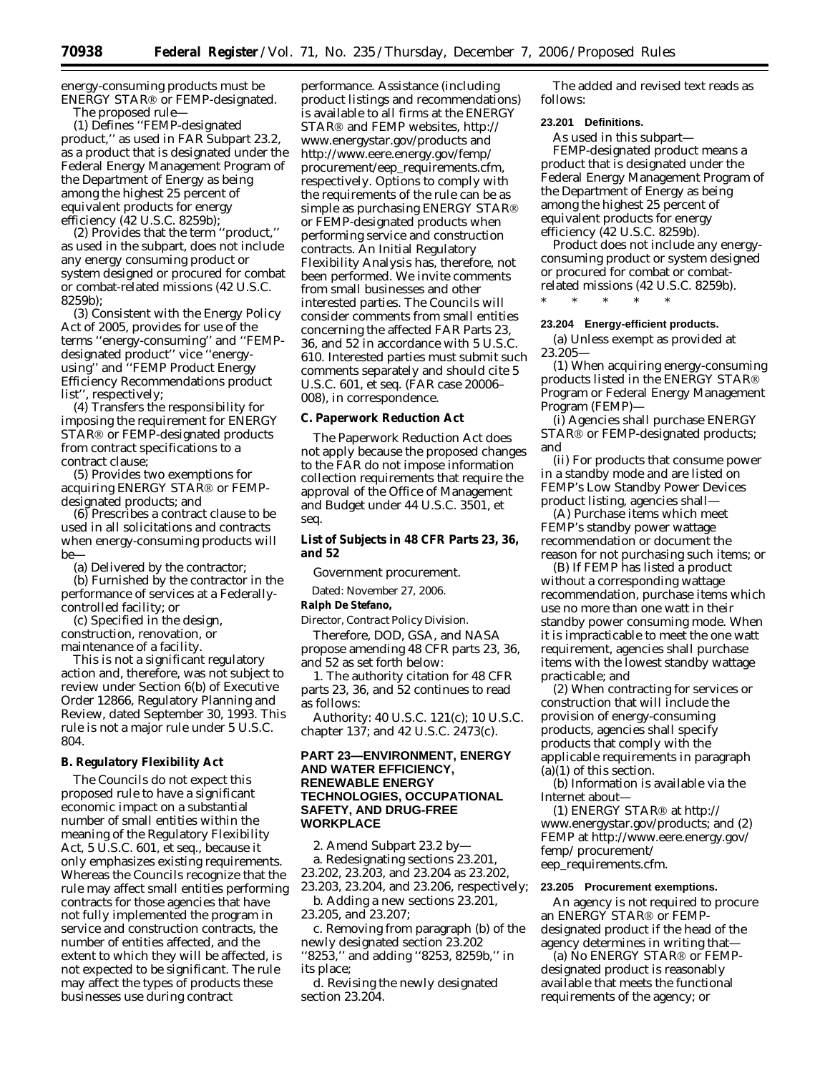energy-consuming products must be ENERGY STAR<sup>®</sup> or FEMP-designated. The proposed rule—

(1) Defines ''FEMP-designated product,'' as used in FAR Subpart 23.2, as a product that is designated under the Federal Energy Management Program of the Department of Energy as being among the highest 25 percent of equivalent products for energy efficiency (42 U.S.C. 8259b);

(2) Provides that the term ''product,'' as used in the subpart, does not include any energy consuming product or system designed or procured for combat or combat-related missions (42 U.S.C. 8259b);

(3) Consistent with the Energy Policy Act of 2005, provides for use of the terms ''energy-consuming'' and ''FEMPdesignated product'' vice ''energyusing'' and ''FEMP Product Energy Efficiency Recommendations product list'', respectively;

(4) Transfers the responsibility for imposing the requirement for ENERGY STAR<sup>®</sup> or FEMP-designated products from contract specifications to a contract clause;

(5) Provides two exemptions for acquiring ENERGY STAR<sup>®</sup> or FEMPdesignated products; and

(6) Prescribes a contract clause to be used in all solicitations and contracts when energy-consuming products will be-

(a) Delivered by the contractor;

(b) Furnished by the contractor in the performance of services at a Federallycontrolled facility; or

(c) Specified in the design, construction, renovation, or maintenance of a facility.

This is not a significant regulatory action and, therefore, was not subject to review under Section 6(b) of Executive Order 12866, Regulatory Planning and Review, dated September 30, 1993. This rule is not a major rule under 5 U.S.C. 804.

## **B. Regulatory Flexibility Act**

The Councils do not expect this proposed rule to have a significant economic impact on a substantial number of small entities within the meaning of the Regulatory Flexibility Act, 5 U.S.C. 601, *et seq.*, because it only emphasizes existing requirements. Whereas the Councils recognize that the rule may affect small entities performing contracts for those agencies that have not fully implemented the program in service and construction contracts, the number of entities affected, and the extent to which they will be affected, is not expected to be significant. The rule may affect the types of products these businesses use during contract

performance. Assistance (including product listings and recommendations) is available to all firms at the ENERGY STAR<sup>®</sup> and FEMP websites, *http:// www.energystar.gov/products* and *http://www.eere.energy.gov/femp/ procurement/eep*\_*requirements.cfm*, respectively. Options to comply with the requirements of the rule can be as simple as purchasing ENERGY STAR or FEMP-designated products when performing service and construction contracts. An Initial Regulatory Flexibility Analysis has, therefore, not been performed. We invite comments from small businesses and other interested parties. The Councils will consider comments from small entities concerning the affected FAR Parts 23, 36, and 52 in accordance with 5 U.S.C. 610. Interested parties must submit such comments separately and should cite 5 U.S.C. 601, *et seq.* (FAR case 20006– 008), in correspondence.

## **C. Paperwork Reduction Act**

The Paperwork Reduction Act does not apply because the proposed changes to the FAR do not impose information collection requirements that require the approval of the Office of Management and Budget under 44 U.S.C. 3501, *et seq.* 

## **List of Subjects in 48 CFR Parts 23, 36, and 52**

Government procurement.

Dated: November 27, 2006.

## **Ralph De Stefano,**

*Director, Contract Policy Division.* 

Therefore, DOD, GSA, and NASA propose amending 48 CFR parts 23, 36, and 52 as set forth below:

1. The authority citation for 48 CFR parts 23, 36, and 52 continues to read as follows:

Authority: 40 U.S.C. 121(c); 10 U.S.C. chapter 137; and 42 U.S.C. 2473(c).

# **PART 23—ENVIRONMENT, ENERGY AND WATER EFFICIENCY, RENEWABLE ENERGY TECHNOLOGIES, OCCUPATIONAL SAFETY, AND DRUG-FREE WORKPLACE**

2. Amend Subpart 23.2 by a. Redesignating sections 23.201, 23.202, 23.203, and 23.204 as 23.202, 23.203, 23.204, and 23.206, respectively;

b. Adding a new sections 23.201, 23.205, and 23.207;

c. Removing from paragraph (b) of the newly designated section 23.202 ''8253,'' and adding ''8253, 8259b,'' in its place;

d. Revising the newly designated section 23.204.

The added and revised text reads as follows:

## **23.201 Definitions.**

As used in this subpart— *FEMP-designated product* means a product that is designated under the Federal Energy Management Program of the Department of Energy as being among the highest 25 percent of equivalent products for energy efficiency (42 U.S.C. 8259b).

*Product* does not include any energyconsuming product or system designed or procured for combat or combatrelated missions (42 U.S.C. 8259b).

\* \* \* \* \*

## **23.204 Energy-efficient products.**

(a) Unless exempt as provided at 23.205—

(1) When acquiring energy-consuming products listed in the ENERGY STAR Program or Federal Energy Management Program (FEMP)—

(i) Agencies shall purchase ENERGY STAR<sup>®</sup> or FEMP-designated products; and

(ii) For products that consume power in a standby mode and are listed on FEMP's Low Standby Power Devices product listing, agencies shall—

(A) Purchase items which meet FEMP's standby power wattage recommendation or document the reason for not purchasing such items; or

(B) If FEMP has listed a product without a corresponding wattage recommendation, purchase items which use no more than one watt in their standby power consuming mode. When it is impracticable to meet the one watt requirement, agencies shall purchase items with the lowest standby wattage practicable; and

(2) When contracting for services or construction that will include the provision of energy-consuming products, agencies shall specify products that comply with the applicable requirements in paragraph (a)(1) of this section.

(b) Information is available via the Internet about—

(1) ENERGY STAR<sup>®</sup> at *http:// www.energystar.gov/products*; and (2) FEMP at *http://www.eere.energy.gov/ femp/ procurement/ eep*\_*requirements.cfm*.

### **23.205 Procurement exemptions.**

An agency is not required to procure an ENERGY STAR<sup>®</sup> or FEMPdesignated product if the head of the agency determines in writing that—

(a) No ENERGY STAR<sup>®</sup> or FEMPdesignated product is reasonably available that meets the functional requirements of the agency; or